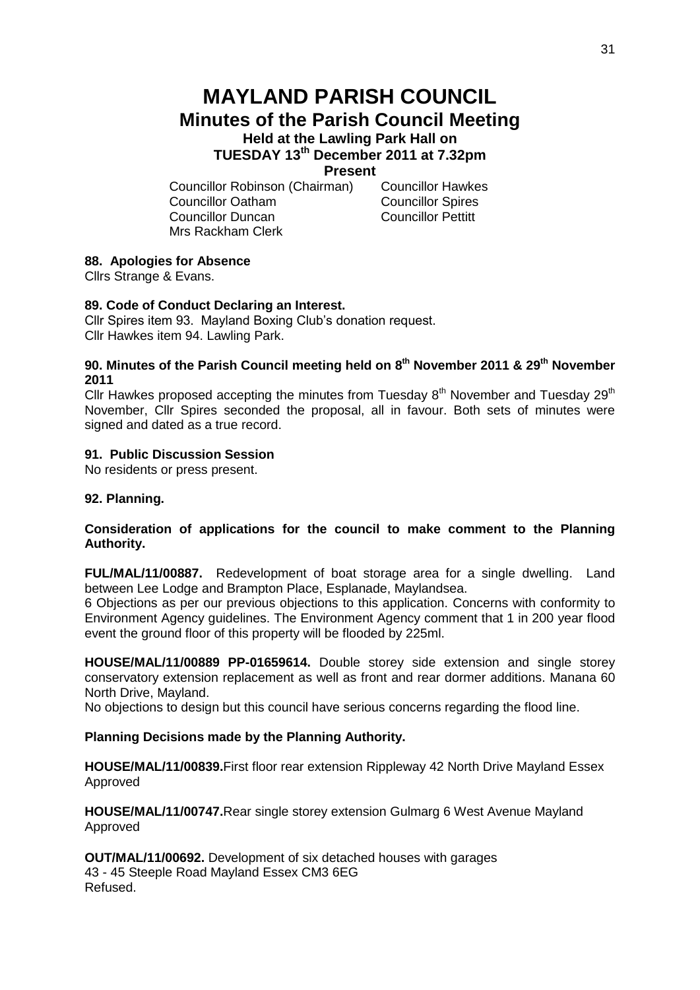# **MAYLAND PARISH COUNCIL Minutes of the Parish Council Meeting Held at the Lawling Park Hall on**

**TUESDAY 13th December 2011 at 7.32pm**

## **Present**

Councillor Robinson (Chairman) Councillor Hawkes Councillor Oatham Councillor Spires Councillor Duncan Councillor Pettitt Mrs Rackham Clerk

# **88. Apologies for Absence**

Cllrs Strange & Evans.

# **89. Code of Conduct Declaring an Interest.**

Cllr Spires item 93. Mayland Boxing Club's donation request. Cllr Hawkes item 94. Lawling Park.

#### **90. Minutes of the Parish Council meeting held on 8 th November 2011 & 29th November 2011**

Cllr Hawkes proposed accepting the minutes from Tuesday  $8<sup>th</sup>$  November and Tuesday  $29<sup>th</sup>$ November, Cllr Spires seconded the proposal, all in favour. Both sets of minutes were signed and dated as a true record.

## **91. Public Discussion Session**

No residents or press present.

# **92. Planning.**

# **Consideration of applications for the council to make comment to the Planning Authority.**

**FUL/MAL/11/00887.** Redevelopment of boat storage area for a single dwelling. Land between Lee Lodge and Brampton Place, Esplanade, Maylandsea.

6 Objections as per our previous objections to this application. Concerns with conformity to Environment Agency guidelines. The Environment Agency comment that 1 in 200 year flood event the ground floor of this property will be flooded by 225ml.

**HOUSE/MAL/11/00889 PP-01659614.** Double storey side extension and single storey conservatory extension replacement as well as front and rear dormer additions. Manana 60 North Drive, Mayland.

No objections to design but this council have serious concerns regarding the flood line.

# **Planning Decisions made by the Planning Authority.**

**HOUSE/MAL/11/00839.**First floor rear extension Rippleway 42 North Drive Mayland Essex Approved

**HOUSE/MAL/11/00747.**Rear single storey extension Gulmarg 6 West Avenue Mayland Approved

**OUT/MAL/11/00692.** Development of six detached houses with garages 43 - 45 Steeple Road Mayland Essex CM3 6EG Refused.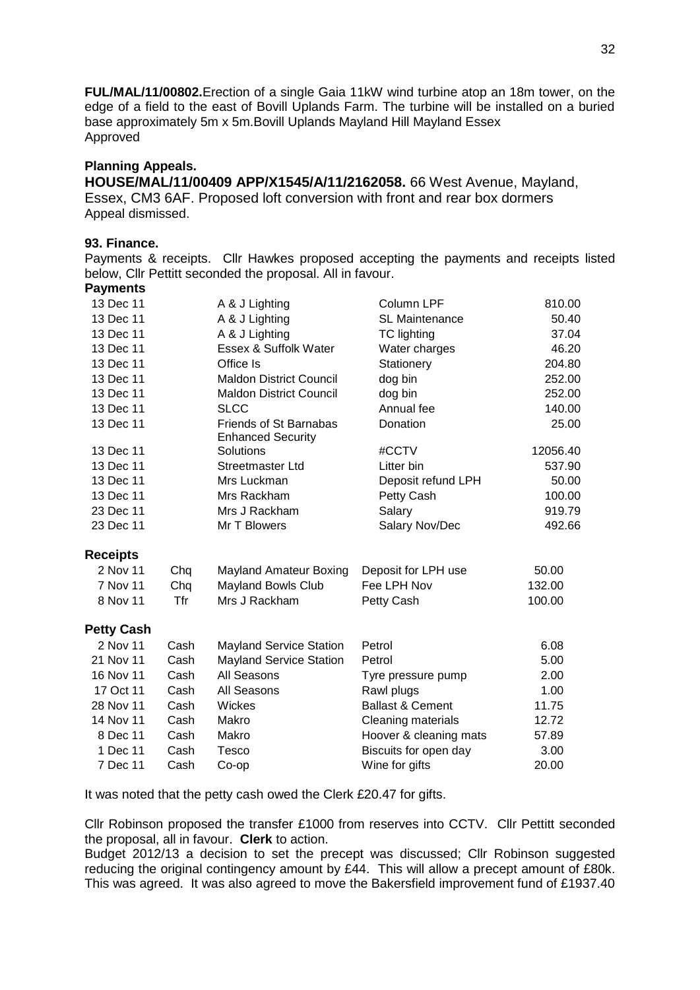**FUL/MAL/11/00802.**Erection of a single Gaia 11kW wind turbine atop an 18m tower, on the edge of a field to the east of Bovill Uplands Farm. The turbine will be installed on a buried base approximately 5m x 5m.Bovill Uplands Mayland Hill Mayland Essex Approved

# **Planning Appeals.**

**HOUSE/MAL/11/00409 APP/X1545/A/11/2162058.** 66 West Avenue, Mayland, Essex, CM3 6AF. Proposed loft conversion with front and rear box dormers Appeal dismissed.

# **93. Finance.**

Payments & receipts. Cllr Hawkes proposed accepting the payments and receipts listed below, Cllr Pettitt seconded the proposal. All in favour. **Payments**

| 13 Dec 11         |      | A & J Lighting                                            | Column LPF                  | 810.00   |
|-------------------|------|-----------------------------------------------------------|-----------------------------|----------|
| 13 Dec 11         |      | A & J Lighting                                            | SL Maintenance              | 50.40    |
| 13 Dec 11         |      | A & J Lighting                                            | <b>TC</b> lighting          | 37.04    |
| 13 Dec 11         |      | Essex & Suffolk Water                                     | Water charges               | 46.20    |
| 13 Dec 11         |      | Office Is                                                 | Stationery                  | 204.80   |
| 13 Dec 11         |      | <b>Maldon District Council</b>                            | dog bin                     | 252.00   |
| 13 Dec 11         |      | <b>Maldon District Council</b>                            | dog bin                     | 252.00   |
| 13 Dec 11         |      | <b>SLCC</b>                                               | Annual fee                  | 140.00   |
| 13 Dec 11         |      | <b>Friends of St Barnabas</b><br><b>Enhanced Security</b> | Donation                    | 25.00    |
| 13 Dec 11         |      | Solutions                                                 | #CCTV                       | 12056.40 |
| 13 Dec 11         |      | <b>Streetmaster Ltd</b>                                   | Litter bin                  | 537.90   |
| 13 Dec 11         |      | Mrs Luckman                                               | Deposit refund LPH          | 50.00    |
| 13 Dec 11         |      | Mrs Rackham                                               | Petty Cash                  | 100.00   |
| 23 Dec 11         |      | Mrs J Rackham                                             | Salary                      | 919.79   |
| 23 Dec 11         |      | Mr T Blowers                                              | Salary Nov/Dec              | 492.66   |
| <b>Receipts</b>   |      |                                                           |                             |          |
| 2 Nov 11          | Chq  | <b>Mayland Amateur Boxing</b>                             | Deposit for LPH use         | 50.00    |
| 7 Nov 11          | Chq  | <b>Mayland Bowls Club</b>                                 | Fee LPH Nov                 | 132.00   |
| 8 Nov 11          | Tfr  | Mrs J Rackham                                             | Petty Cash                  | 100.00   |
| <b>Petty Cash</b> |      |                                                           |                             |          |
| 2 Nov 11          | Cash | <b>Mayland Service Station</b>                            | Petrol                      | 6.08     |
| 21 Nov 11         | Cash | <b>Mayland Service Station</b>                            | Petrol                      | 5.00     |
| 16 Nov 11         | Cash | All Seasons                                               | Tyre pressure pump          | 2.00     |
| 17 Oct 11         | Cash | All Seasons                                               | Rawl plugs                  | 1.00     |
| 28 Nov 11         | Cash | Wickes                                                    | <b>Ballast &amp; Cement</b> | 11.75    |
| 14 Nov 11         | Cash | Makro                                                     | Cleaning materials          | 12.72    |
| 8 Dec 11          | Cash | Makro                                                     | Hoover & cleaning mats      | 57.89    |
| 1 Dec 11          | Cash | Tesco                                                     | Biscuits for open day       | 3.00     |
| 7 Dec 11          | Cash | $Co$ -op                                                  | Wine for gifts              | 20.00    |

It was noted that the petty cash owed the Clerk £20.47 for gifts.

Cllr Robinson proposed the transfer £1000 from reserves into CCTV. Cllr Pettitt seconded the proposal, all in favour. **Clerk** to action.

Budget 2012/13 a decision to set the precept was discussed; Cllr Robinson suggested reducing the original contingency amount by £44. This will allow a precept amount of £80k. This was agreed. It was also agreed to move the Bakersfield improvement fund of £1937.40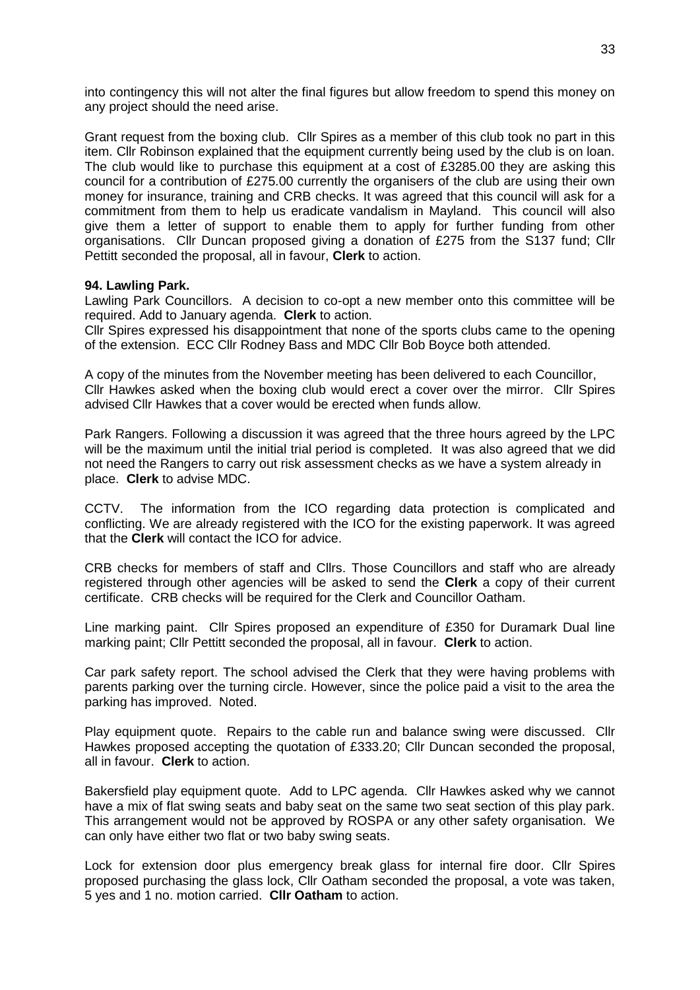into contingency this will not alter the final figures but allow freedom to spend this money on any project should the need arise.

Grant request from the boxing club. Cllr Spires as a member of this club took no part in this item. Cllr Robinson explained that the equipment currently being used by the club is on loan. The club would like to purchase this equipment at a cost of £3285.00 they are asking this council for a contribution of £275.00 currently the organisers of the club are using their own money for insurance, training and CRB checks. It was agreed that this council will ask for a commitment from them to help us eradicate vandalism in Mayland. This council will also give them a letter of support to enable them to apply for further funding from other organisations. Cllr Duncan proposed giving a donation of £275 from the S137 fund; Cllr Pettitt seconded the proposal, all in favour, **Clerk** to action.

#### **94. Lawling Park.**

Lawling Park Councillors. A decision to co-opt a new member onto this committee will be required. Add to January agenda. **Clerk** to action.

Cllr Spires expressed his disappointment that none of the sports clubs came to the opening of the extension. ECC Cllr Rodney Bass and MDC Cllr Bob Boyce both attended.

A copy of the minutes from the November meeting has been delivered to each Councillor, Cllr Hawkes asked when the boxing club would erect a cover over the mirror. Cllr Spires advised Cllr Hawkes that a cover would be erected when funds allow.

Park Rangers. Following a discussion it was agreed that the three hours agreed by the LPC will be the maximum until the initial trial period is completed. It was also agreed that we did not need the Rangers to carry out risk assessment checks as we have a system already in place. **Clerk** to advise MDC.

CCTV. The information from the ICO regarding data protection is complicated and conflicting. We are already registered with the ICO for the existing paperwork. It was agreed that the **Clerk** will contact the ICO for advice.

CRB checks for members of staff and Cllrs. Those Councillors and staff who are already registered through other agencies will be asked to send the **Clerk** a copy of their current certificate. CRB checks will be required for the Clerk and Councillor Oatham.

Line marking paint. Cllr Spires proposed an expenditure of £350 for Duramark Dual line marking paint; Cllr Pettitt seconded the proposal, all in favour. **Clerk** to action.

Car park safety report. The school advised the Clerk that they were having problems with parents parking over the turning circle. However, since the police paid a visit to the area the parking has improved. Noted.

Play equipment quote. Repairs to the cable run and balance swing were discussed. Cllr Hawkes proposed accepting the quotation of £333.20; Cllr Duncan seconded the proposal, all in favour. **Clerk** to action.

Bakersfield play equipment quote. Add to LPC agenda. Cllr Hawkes asked why we cannot have a mix of flat swing seats and baby seat on the same two seat section of this play park. This arrangement would not be approved by ROSPA or any other safety organisation. We can only have either two flat or two baby swing seats.

Lock for extension door plus emergency break glass for internal fire door. Cllr Spires proposed purchasing the glass lock, Cllr Oatham seconded the proposal, a vote was taken, 5 yes and 1 no. motion carried. **Cllr Oatham** to action.